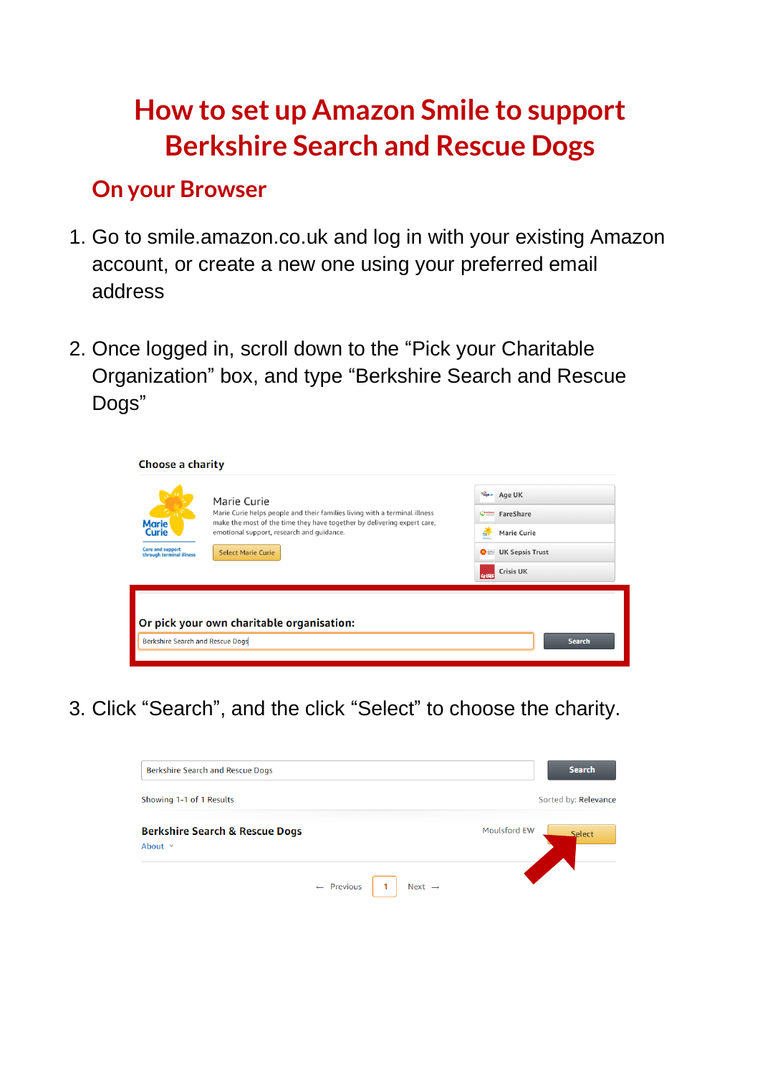# **How to set up Amazon Smile to support Berkshire Search and Rescue Dogs**

## **On your Browser**

- 1. Go to smile.amazon.co.uk and log in with your existing Amazon account, or create a new one using your preferred email address
- 2. Once logged in, scroll down to the "Pick your Charitable Organization" box, and type "Berkshire Search and Rescue Dogs"

| <b>Choose a charity</b>                                                      |                                                                                                                                                                                                                                                |                                                                                                                                                      |
|------------------------------------------------------------------------------|------------------------------------------------------------------------------------------------------------------------------------------------------------------------------------------------------------------------------------------------|------------------------------------------------------------------------------------------------------------------------------------------------------|
| <b>Marie</b><br>Curie<br><b>Care and support</b><br>through terminal illness | Marie Curie<br>Marie Curie helps people and their families living with a terminal illness<br>make the most of the time they have together by delivering expert care,<br>emotional support, research and guidance.<br><b>Select Marie Curie</b> | Page & Age UK<br>Chastase FareShare<br>a,<br>Marie Curie<br>international<br><b>UK Sepsis Trust</b><br>$\bullet$<br><b>Crisis UK</b><br><b>Crist</b> |
| Berkshire Search and Rescue Dogs                                             | Or pick your own charitable organisation:                                                                                                                                                                                                      | <b>Search</b>                                                                                                                                        |

3. Click "Search", and the click "Select" to choose the charity.

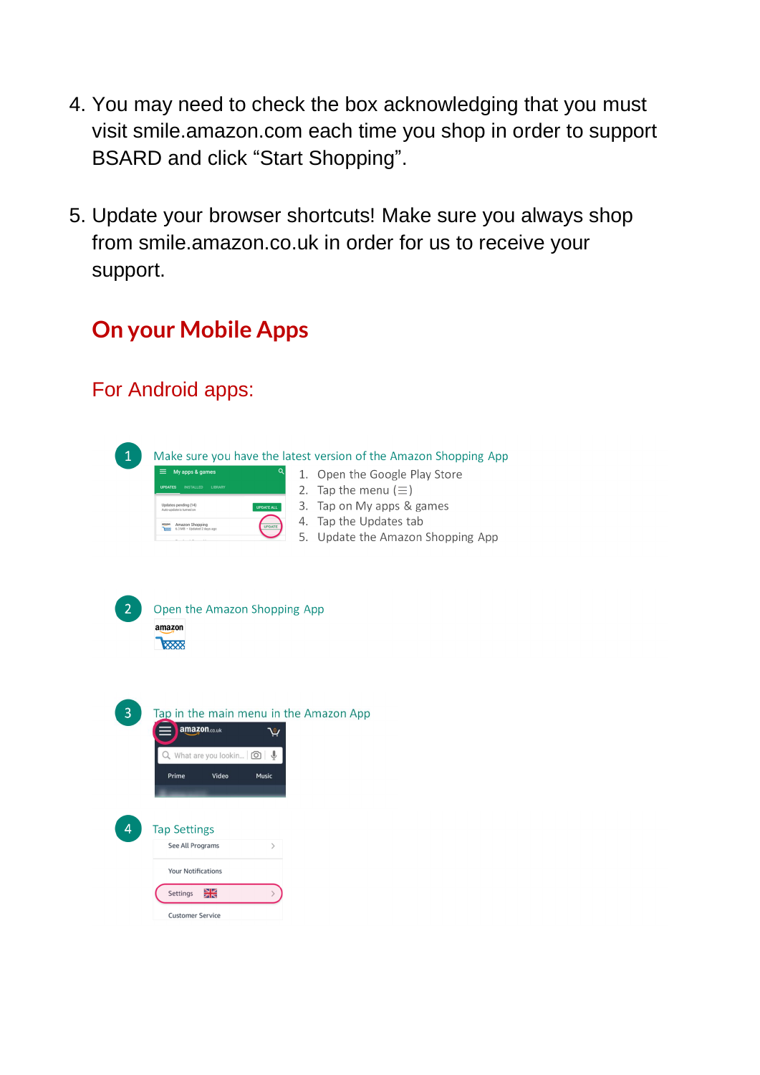- 4. You may need to check the box acknowledging that you must visit smile.amazon.com each time you shop in order to support BSARD and click "Start Shopping".
- 5. Update your browser shortcuts! Make sure you always shop from smile.amazon.co.uk in order for us to receive your support.

## **On your Mobile Apps**

### For Android apps:

Make sure you have the latest version of the Amazon Shopping App  $\mathbf{1}$ My apps & games 1. Open the Google Play Store 2. Tap the menu  $(\equiv)$ **EUPOATEALL** 3. Tap on My apps & games 4. Tap the Updates tab 5. Update the Amazon Shopping App Open the Amazon Shopping App amazon **RXXX** 

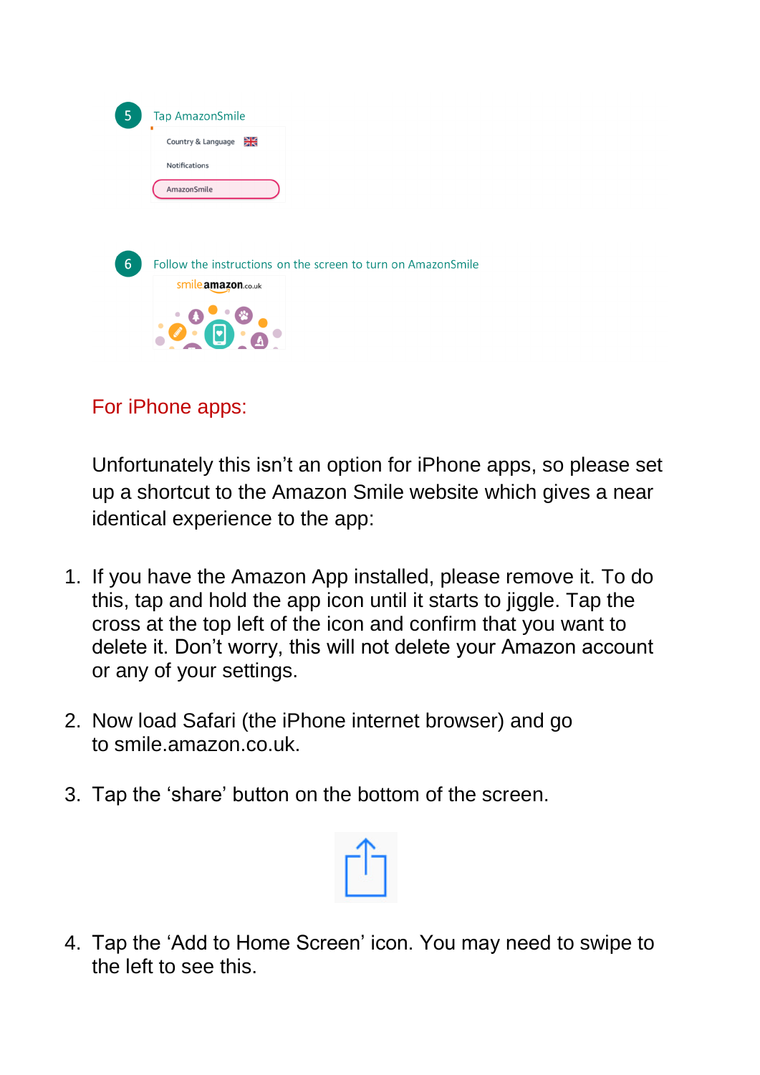| 5 | <b>Tap AmazonSmile</b>                                       |
|---|--------------------------------------------------------------|
|   | ₩<br>Country & Language                                      |
|   | Notifications                                                |
|   | AmazonSmile                                                  |
|   |                                                              |
|   |                                                              |
| 6 | Follow the instructions on the screen to turn on AmazonSmile |
|   | Smile.amazon.co.uk                                           |
|   |                                                              |
|   |                                                              |

### For iPhone apps:

Unfortunately this isn't an option for iPhone apps, so please set up a shortcut to the Amazon Smile website which gives a near identical experience to the app:

- 1. If you have the Amazon App installed, please remove it. To do this, tap and hold the app icon until it starts to jiggle. Tap the cross at the top left of the icon and confirm that you want to delete it. Don't worry, this will not delete your Amazon account or any of your settings.
- 2. Now load Safari (the iPhone internet browser) and go to [smile.amazon.co.uk.](http://www.smile.amazon.co.uk/)
- 3. Tap the 'share' button on the bottom of the screen.



4. Tap the 'Add to Home Screen' icon. You may need to swipe to the left to see this.